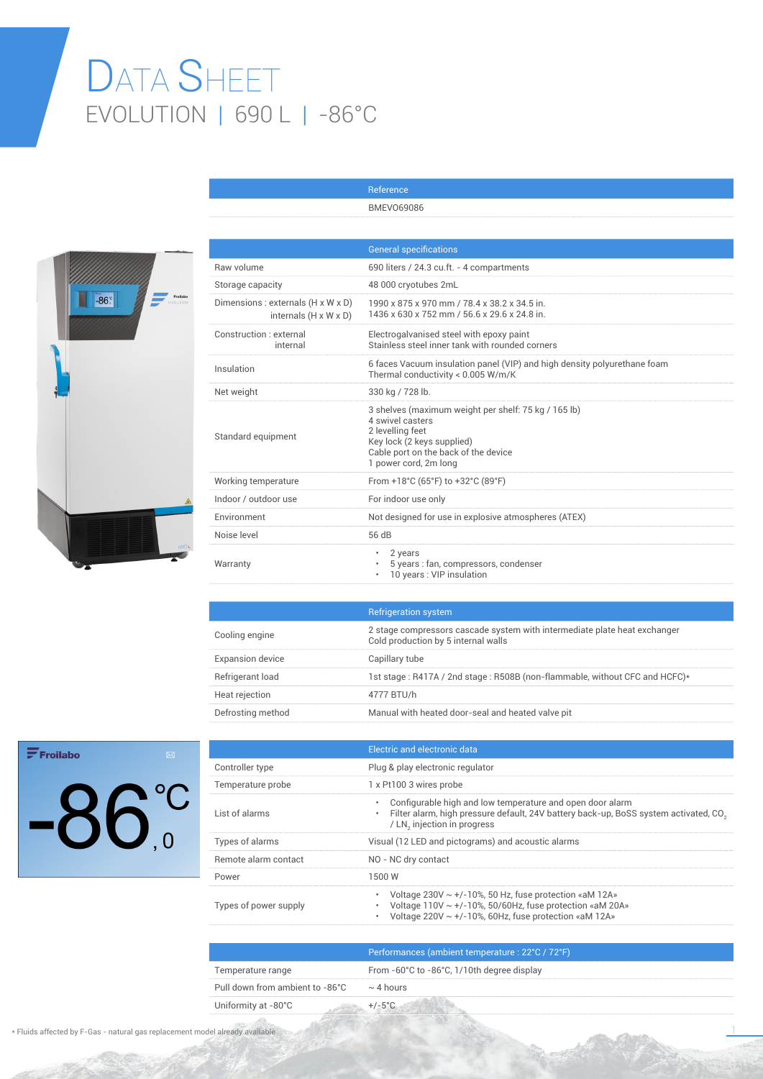## DATA SHEET EVOLUTION | 690 L | -86°C



|                                                                         | <b>General specifications</b>                                                                                                                                                               |
|-------------------------------------------------------------------------|---------------------------------------------------------------------------------------------------------------------------------------------------------------------------------------------|
| Raw volume                                                              | 690 liters / 24.3 cu.ft. - 4 compartments                                                                                                                                                   |
| Storage capacity                                                        | 48 000 cryotubes 2mL                                                                                                                                                                        |
| Dimensions : externals (H x W x D)<br>internals $(H \times W \times D)$ | 1990 x 875 x 970 mm / 78.4 x 38.2 x 34.5 in.<br>1436 x 630 x 752 mm / 56.6 x 29.6 x 24.8 in.                                                                                                |
| Construction : external<br>internal                                     | Electrogalvanised steel with epoxy paint<br>Stainless steel inner tank with rounded corners                                                                                                 |
| Insulation                                                              | 6 faces Vacuum insulation panel (VIP) and high density polyurethane foam<br>Thermal conductivity < 0.005 W/m/K                                                                              |
| Net weight                                                              | 330 kg / 728 lb.                                                                                                                                                                            |
| Standard equipment                                                      | 3 shelves (maximum weight per shelf: 75 kg / 165 lb)<br>4 swivel casters<br>2 levelling feet<br>Key lock (2 keys supplied)<br>Cable port on the back of the device<br>1 power cord, 2m long |
| Working temperature                                                     | From +18°C (65°F) to +32°C (89°F)                                                                                                                                                           |
| Indoor / outdoor use                                                    | For indoor use only                                                                                                                                                                         |
| Environment                                                             | Not designed for use in explosive atmospheres (ATEX)                                                                                                                                        |
| Noise level                                                             | 56 dB                                                                                                                                                                                       |
| Warranty                                                                | 2 years<br>5 years : fan, compressors, condenser<br>10 years: VIP insulation                                                                                                                |

Reference BMEVO69086

|                         | <b>Refrigeration system</b>                                                                                      |
|-------------------------|------------------------------------------------------------------------------------------------------------------|
| Cooling engine          | 2 stage compressors cascade system with intermediate plate heat exchanger<br>Cold production by 5 internal walls |
| <b>Expansion device</b> | Capillary tube                                                                                                   |
| Refrigerant load        | 1st stage: R417A / 2nd stage: R508B (non-flammable, without CFC and HCFC)*                                       |
| Heat rejection          | 4777 BTU/h                                                                                                       |
| Defrosting method       | Manual with heated door-seal and heated valve pit                                                                |

 $\mathbf{F}$ Froilabo  $-86^\circ$ 

|                       | Electric and electronic data                                                                                                                                                                                  |
|-----------------------|---------------------------------------------------------------------------------------------------------------------------------------------------------------------------------------------------------------|
| Controller type       | Plug & play electronic regulator                                                                                                                                                                              |
| Temperature probe     | 1 x Pt100 3 wires probe                                                                                                                                                                                       |
| List of alarms        | Configurable high and low temperature and open door alarm<br>۰<br>Filter alarm, high pressure default, 24V battery back-up, BoSS system activated, CO <sub>3</sub><br>۰<br>/ LN, injection in progress        |
| Types of alarms       | Visual (12 LED and pictograms) and acoustic alarms                                                                                                                                                            |
| Remote alarm contact  | NO - NC dry contact                                                                                                                                                                                           |
| Power                 | 1500 W                                                                                                                                                                                                        |
| Types of power supply | Voltage $230V \sim +/-10\%$ , 50 Hz, fuse protection «aM 12A»<br>۰<br>Voltage $110V \sim +/-10\%$ , 50/60Hz, fuse protection «aM 20A»<br>٠<br>Voltage 220V $\sim$ +/-10%, 60Hz, fuse protection «aM 12A»<br>۰ |
|                       |                                                                                                                                                                                                               |

|                                 | Performances (ambient temperature : 22°C / 72°F) |
|---------------------------------|--------------------------------------------------|
| Temperature range               | From -60°C to -86°C, 1/10th degree display       |
| Pull down from ambient to -86°C | $\sim$ 4 hours                                   |
| Uniformity at -80°C             | $+/-5^{\circ}$ C.                                |